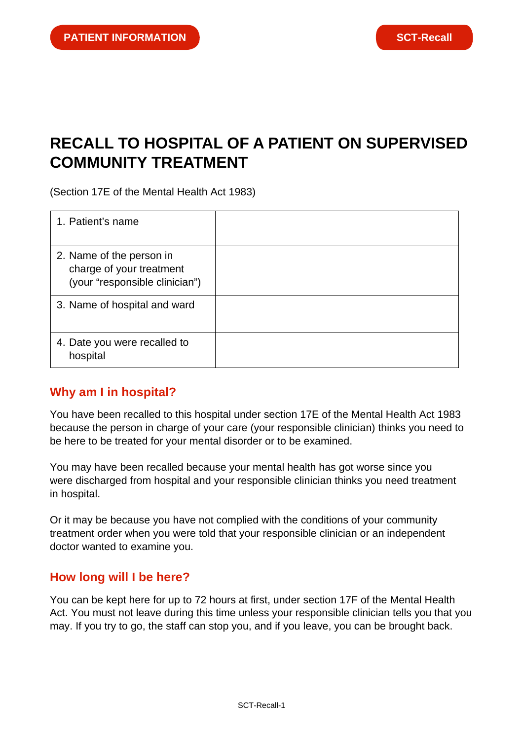# **RECALL TO HOSPITAL OF A PATIENT ON SUPERVISED COMMUNITY TREATMENT**

(Section 17E of the Mental Health Act 1983)

| 1. Patient's name                                                                      |  |
|----------------------------------------------------------------------------------------|--|
| 2. Name of the person in<br>charge of your treatment<br>(your "responsible clinician") |  |
| 3. Name of hospital and ward                                                           |  |
| 4. Date you were recalled to<br>hospital                                               |  |

## **Why am I in hospital?**

You have been recalled to this hospital under section 17E of the Mental Health Act 1983 because the person in charge of your care (your responsible clinician) thinks you need to be here to be treated for your mental disorder or to be examined.

You may have been recalled because your mental health has got worse since you were discharged from hospital and your responsible clinician thinks you need treatment in hospital.

Or it may be because you have not complied with the conditions of your community treatment order when you were told that your responsible clinician or an independent doctor wanted to examine you.

#### **How long will I be here?**

You can be kept here for up to 72 hours at first, under section 17F of the Mental Health Act. You must not leave during this time unless your responsible clinician tells you that you may. If you try to go, the staff can stop you, and if you leave, you can be brought back.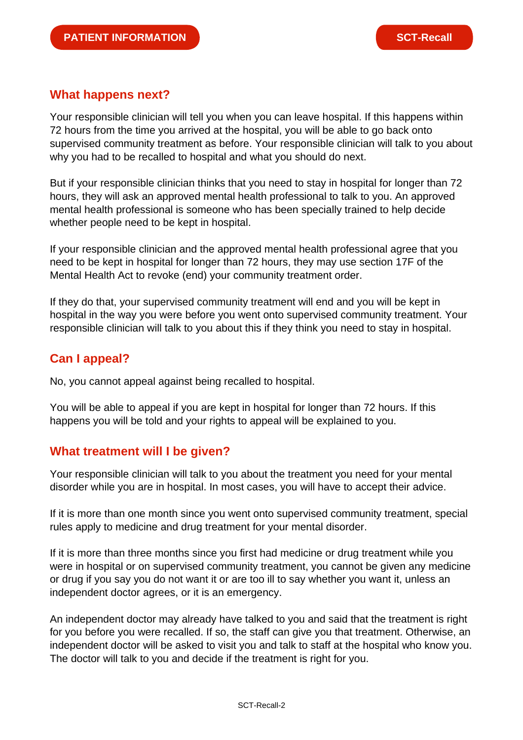### **What happens next?**

Your responsible clinician will tell you when you can leave hospital. If this happens within 72 hours from the time you arrived at the hospital, you will be able to go back onto supervised community treatment as before. Your responsible clinician will talk to you about why you had to be recalled to hospital and what you should do next.

But if your responsible clinician thinks that you need to stay in hospital for longer than 72 hours, they will ask an approved mental health professional to talk to you. An approved mental health professional is someone who has been specially trained to help decide whether people need to be kept in hospital.

If your responsible clinician and the approved mental health professional agree that you need to be kept in hospital for longer than 72 hours, they may use section 17F of the Mental Health Act to revoke (end) your community treatment order.

If they do that, your supervised community treatment will end and you will be kept in hospital in the way you were before you went onto supervised community treatment. Your responsible clinician will talk to you about this if they think you need to stay in hospital.

# **Can I appeal?**

No, you cannot appeal against being recalled to hospital.

You will be able to appeal if you are kept in hospital for longer than 72 hours. If this happens you will be told and your rights to appeal will be explained to you.

#### **What treatment will I be given?**

Your responsible clinician will talk to you about the treatment you need for your mental disorder while you are in hospital. In most cases, you will have to accept their advice.

If it is more than one month since you went onto supervised community treatment, special rules apply to medicine and drug treatment for your mental disorder.

If it is more than three months since you first had medicine or drug treatment while you were in hospital or on supervised community treatment, you cannot be given any medicine or drug if you say you do not want it or are too ill to say whether you want it, unless an independent doctor agrees, or it is an emergency.

An independent doctor may already have talked to you and said that the treatment is right for you before you were recalled. If so, the staff can give you that treatment. Otherwise, an independent doctor will be asked to visit you and talk to staff at the hospital who know you. The doctor will talk to you and decide if the treatment is right for you.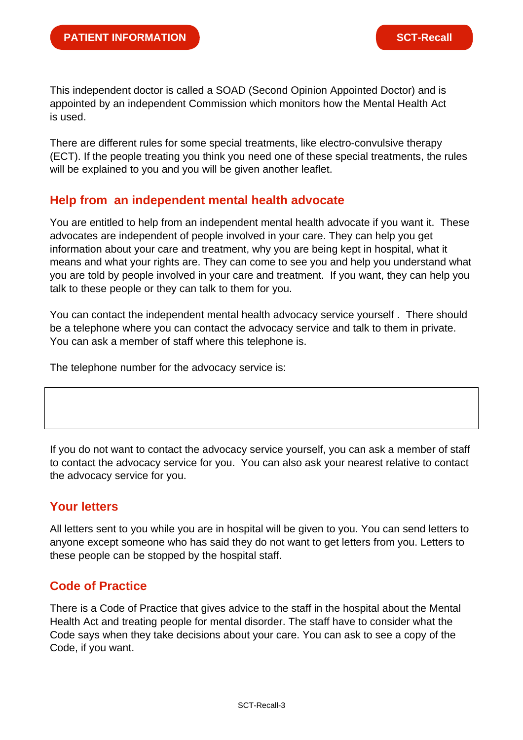This independent doctor is called a SOAD (Second Opinion Appointed Doctor) and is appointed by an independent Commission which monitors how the Mental Health Act is used.

There are different rules for some special treatments, like electro-convulsive therapy (ECT). If the people treating you think you need one of these special treatments, the rules will be explained to you and you will be given another leaflet.

#### **Help from an independent mental health advocate**

You are entitled to help from an independent mental health advocate if you want it. These advocates are independent of people involved in your care. They can help you get information about your care and treatment, why you are being kept in hospital, what it means and what your rights are. They can come to see you and help you understand what you are told by people involved in your care and treatment. If you want, they can help you talk to these people or they can talk to them for you.

You can contact the independent mental health advocacy service yourself . There should be a telephone where you can contact the advocacy service and talk to them in private. You can ask a member of staff where this telephone is.

The telephone number for the advocacy service is:

If you do not want to contact the advocacy service yourself, you can ask a member of staff to contact the advocacy service for you. You can also ask your nearest relative to contact the advocacy service for you.

## **Your letters**

All letters sent to you while you are in hospital will be given to you. You can send letters to anyone except someone who has said they do not want to get letters from you. Letters to these people can be stopped by the hospital staff.

## **Code of Practice**

There is a Code of Practice that gives advice to the staff in the hospital about the Mental Health Act and treating people for mental disorder. The staff have to consider what the Code says when they take decisions about your care. You can ask to see a copy of the Code, if you want.